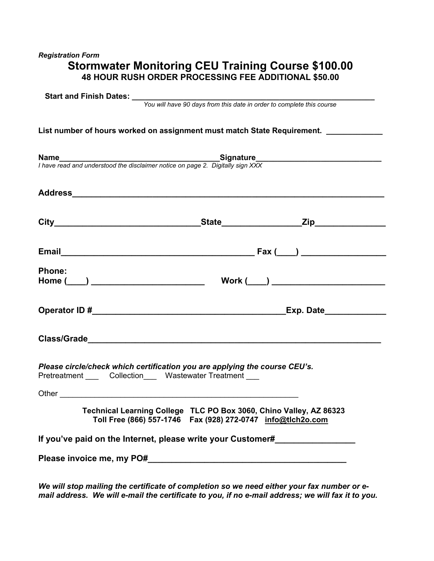# *Registration Form*  **Stormwater Monitoring CEU Training Course \$100.00 48 HOUR RUSH ORDER PROCESSING FEE ADDITIONAL \$50.00**

|               | <b>Name</b><br>I have read and understood the disclaimer notice on page 2. Digitally sign XXX                                                                                                                                  |  |
|---------------|--------------------------------------------------------------------------------------------------------------------------------------------------------------------------------------------------------------------------------|--|
|               |                                                                                                                                                                                                                                |  |
|               |                                                                                                                                                                                                                                |  |
|               |                                                                                                                                                                                                                                |  |
| <b>Phone:</b> |                                                                                                                                                                                                                                |  |
|               |                                                                                                                                                                                                                                |  |
|               | Class/Grade experience and the contract of the contract of the contract of the contract of the contract of the contract of the contract of the contract of the contract of the contract of the contract of the contract of the |  |
|               | Please circle/check which certification you are applying the course CEU's.<br>Pretreatment ____ Collection___ Wastewater Treatment ___                                                                                         |  |
|               | Technical Learning College TLC PO Box 3060, Chino Valley, AZ 86323<br>Toll Free (866) 557-1746  Fax (928) 272-0747  info@tlch2o.com                                                                                            |  |

*We will stop mailing the certificate of completion so we need either your fax number or email address. We will e-mail the certificate to you, if no e-mail address; we will fax it to you.*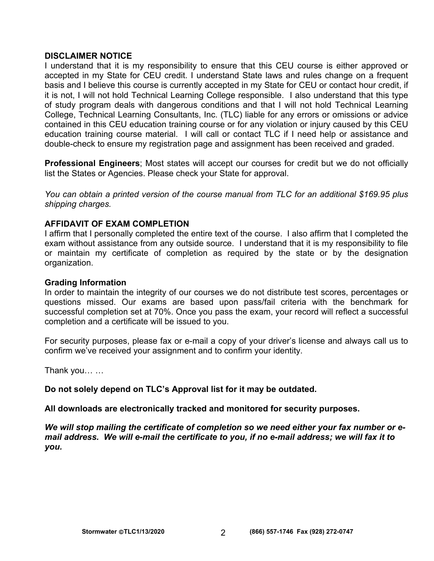#### **DISCLAIMER NOTICE**

I understand that it is my responsibility to ensure that this CEU course is either approved or accepted in my State for CEU credit. I understand State laws and rules change on a frequent basis and I believe this course is currently accepted in my State for CEU or contact hour credit, if it is not, I will not hold Technical Learning College responsible. I also understand that this type of study program deals with dangerous conditions and that I will not hold Technical Learning College, Technical Learning Consultants, Inc. (TLC) liable for any errors or omissions or advice contained in this CEU education training course or for any violation or injury caused by this CEU education training course material. I will call or contact TLC if I need help or assistance and double-check to ensure my registration page and assignment has been received and graded.

**Professional Engineers**; Most states will accept our courses for credit but we do not officially list the States or Agencies. Please check your State for approval.

*You can obtain a printed version of the course manual from TLC for an additional \$169.95 plus shipping charges.* 

#### **AFFIDAVIT OF EXAM COMPLETION**

I affirm that I personally completed the entire text of the course. I also affirm that I completed the exam without assistance from any outside source. I understand that it is my responsibility to file or maintain my certificate of completion as required by the state or by the designation organization.

#### **Grading Information**

In order to maintain the integrity of our courses we do not distribute test scores, percentages or questions missed. Our exams are based upon pass/fail criteria with the benchmark for successful completion set at 70%. Once you pass the exam, your record will reflect a successful completion and a certificate will be issued to you.

For security purposes, please fax or e-mail a copy of your driver's license and always call us to confirm we've received your assignment and to confirm your identity.

Thank you… …

**Do not solely depend on TLC's Approval list for it may be outdated.** 

**All downloads are electronically tracked and monitored for security purposes.** 

*We will stop mailing the certificate of completion so we need either your fax number or email address. We will e-mail the certificate to you, if no e-mail address; we will fax it to you.*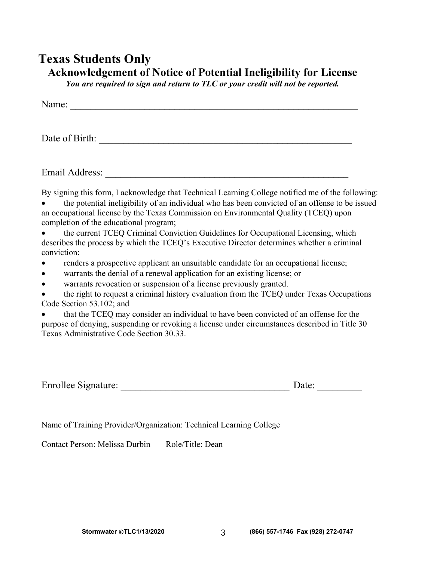# **Texas Students Only Acknowledgement of Notice of Potential Ineligibility for License**

*You are required to sign and return to TLC or your credit will not be reported.* 

| N <sub>L</sub><br>$   -$<br>Name: |  |  |  |
|-----------------------------------|--|--|--|

Date of Birth:

Email Address: \_\_\_\_\_\_\_\_\_\_\_\_\_\_\_\_\_\_\_\_\_\_\_\_\_\_\_\_\_\_\_\_\_\_\_\_\_\_\_\_\_\_\_\_\_\_\_\_\_

By signing this form, I acknowledge that Technical Learning College notified me of the following:

 the potential ineligibility of an individual who has been convicted of an offense to be issued an occupational license by the Texas Commission on Environmental Quality (TCEQ) upon completion of the educational program;

 the current TCEQ Criminal Conviction Guidelines for Occupational Licensing, which describes the process by which the TCEQ's Executive Director determines whether a criminal conviction:

- renders a prospective applicant an unsuitable candidate for an occupational license;
- warrants the denial of a renewal application for an existing license; or

warrants revocation or suspension of a license previously granted.

 the right to request a criminal history evaluation from the TCEQ under Texas Occupations Code Section 53.102; and

 that the TCEQ may consider an individual to have been convicted of an offense for the purpose of denying, suspending or revoking a license under circumstances described in Title 30 Texas Administrative Code Section 30.33.

| Enrollee Signature: | Date: |
|---------------------|-------|
|                     |       |

Name of Training Provider/Organization: Technical Learning College

Contact Person: Melissa Durbin Role/Title: Dean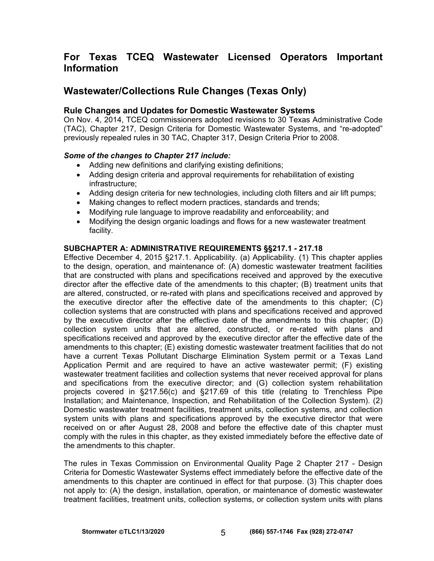# **For Texas TCEQ Wastewater Licensed Operators Important Information**

# **Wastewater/Collections Rule Changes (Texas Only)**

#### **Rule Changes and Updates for Domestic Wastewater Systems**

On Nov. 4, 2014, TCEQ commissioners adopted revisions to 30 Texas Administrative Code (TAC), Chapter 217, Design Criteria for Domestic Wastewater Systems, and "re-adopted" previously repealed rules in 30 TAC, Chapter 317, Design Criteria Prior to 2008.

#### *Some of the changes to Chapter 217 include:*

- Adding new definitions and clarifying existing definitions;
- Adding design criteria and approval requirements for rehabilitation of existing infrastructure;
- Adding design criteria for new technologies, including cloth filters and air lift pumps;
- Making changes to reflect modern practices, standards and trends;
- Modifying rule language to improve readability and enforceability; and
- Modifying the design organic loadings and flows for a new wastewater treatment facility.

#### **SUBCHAPTER A: ADMINISTRATIVE REQUIREMENTS §§217.1 - 217.18**

Effective December 4, 2015 §217.1. Applicability. (a) Applicability. (1) This chapter applies to the design, operation, and maintenance of: (A) domestic wastewater treatment facilities that are constructed with plans and specifications received and approved by the executive director after the effective date of the amendments to this chapter; (B) treatment units that are altered, constructed, or re-rated with plans and specifications received and approved by the executive director after the effective date of the amendments to this chapter; (C) collection systems that are constructed with plans and specifications received and approved by the executive director after the effective date of the amendments to this chapter; (D) collection system units that are altered, constructed, or re-rated with plans and specifications received and approved by the executive director after the effective date of the amendments to this chapter; (E) existing domestic wastewater treatment facilities that do not have a current Texas Pollutant Discharge Elimination System permit or a Texas Land Application Permit and are required to have an active wastewater permit; (F) existing wastewater treatment facilities and collection systems that never received approval for plans and specifications from the executive director; and (G) collection system rehabilitation projects covered in §217.56(c) and §217.69 of this title (relating to Trenchless Pipe Installation; and Maintenance, Inspection, and Rehabilitation of the Collection System). (2) Domestic wastewater treatment facilities, treatment units, collection systems, and collection system units with plans and specifications approved by the executive director that were received on or after August 28, 2008 and before the effective date of this chapter must comply with the rules in this chapter, as they existed immediately before the effective date of the amendments to this chapter.

The rules in Texas Commission on Environmental Quality Page 2 Chapter 217 - Design Criteria for Domestic Wastewater Systems effect immediately before the effective date of the amendments to this chapter are continued in effect for that purpose. (3) This chapter does not apply to: (A) the design, installation, operation, or maintenance of domestic wastewater treatment facilities, treatment units, collection systems, or collection system units with plans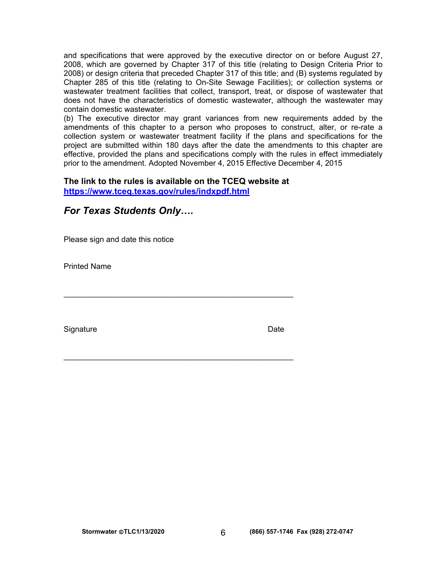and specifications that were approved by the executive director on or before August 27, 2008, which are governed by Chapter 317 of this title (relating to Design Criteria Prior to 2008) or design criteria that preceded Chapter 317 of this title; and (B) systems regulated by Chapter 285 of this title (relating to On-Site Sewage Facilities); or collection systems or wastewater treatment facilities that collect, transport, treat, or dispose of wastewater that does not have the characteristics of domestic wastewater, although the wastewater may contain domestic wastewater.

(b) The executive director may grant variances from new requirements added by the amendments of this chapter to a person who proposes to construct, alter, or re-rate a collection system or wastewater treatment facility if the plans and specifications for the project are submitted within 180 days after the date the amendments to this chapter are effective, provided the plans and specifications comply with the rules in effect immediately prior to the amendment. Adopted November 4, 2015 Effective December 4, 2015

# **The link to the rules is available on the TCEQ website at**

**<https://www.tceq.texas.gov/rules/indxpdf.html>**

| Please sign and date this notice |      |
|----------------------------------|------|
| <b>Printed Name</b>              |      |
|                                  |      |
| Signature                        | Date |

 $\mathcal{L}_\text{max}$  and  $\mathcal{L}_\text{max}$  and  $\mathcal{L}_\text{max}$  and  $\mathcal{L}_\text{max}$  and  $\mathcal{L}_\text{max}$ 

*For Texas Students Only….*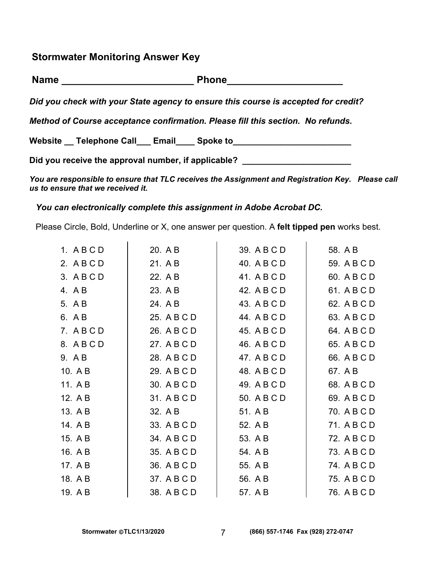**Stormwater Monitoring Answer Key** 

| <b>Name</b> | <b>Phone</b> |
|-------------|--------------|
|             |              |

*Did you check with your State agency to ensure this course is accepted for credit?* 

*Method of Course acceptance confirmation. Please fill this section. No refunds.* 

Website Telephone Call Email Spoke to

Did you receive the approval number, if applicable? \_\_\_\_\_\_\_\_\_\_\_\_\_\_\_\_\_\_\_\_\_\_\_\_\_\_\_\_

*You are responsible to ensure that TLC receives the Assignment and Registration Key. Please call us to ensure that we received it.* 

#### *You can electronically complete this assignment in Adobe Acrobat DC.*

Please Circle, Bold, Underline or X, one answer per question. A **felt tipped pen** works best.

| 1. ABCD | 20. A B     | 39. A B C D | 58. A B     |
|---------|-------------|-------------|-------------|
| 2. ABCD | 21. A B     | 40. A B C D | 59. A B C D |
| 3. ABCD | 22. A B     | 41. A B C D | 60. A B C D |
| 4. AB   | 23. A B     | 42. A B C D | 61. A B C D |
| 5. A B  | 24. A B     | 43. A B C D | 62. A B C D |
| 6. A B  | 25. A B C D | 44. A B C D | 63. A B C D |
| 7. ABCD | 26. A B C D | 45. A B C D | 64. A B C D |
| 8. ABCD | 27. A B C D | 46. A B C D | 65. A B C D |
| 9. AB   | 28. A B C D | 47. A B C D | 66. A B C D |
| 10. A B | 29. A B C D | 48. A B C D | 67. A B     |
| 11. A B | 30. A B C D | 49. A B C D | 68. A B C D |
| 12. A B | 31. A B C D | 50. A B C D | 69. A B C D |
| 13. A B | 32. A B     | 51. A B     | 70. A B C D |
| 14. A B | 33. A B C D | 52. A B     | 71. A B C D |
| 15. A B | 34. A B C D | 53. A B     | 72. A B C D |
| 16. A B | 35. A B C D | 54. A B     | 73. A B C D |
| 17. A B | 36. A B C D | 55. A B     | 74. A B C D |
| 18. A B | 37. A B C D | 56. A B     | 75. A B C D |
| 19. A B | 38. A B C D | 57. A B     | 76. A B C D |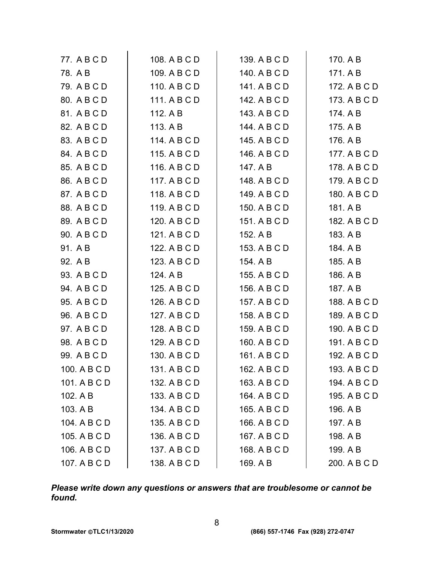| 77. A B C D  | 108. A B C D | 139. A B C D | 170. A B     |
|--------------|--------------|--------------|--------------|
| 78. A B      | 109. A B C D | 140. A B C D | 171. A B     |
| 79. A B C D  | 110. A B C D | 141. A B C D | 172. A B C D |
| 80. A B C D  | 111. A B C D | 142. A B C D | 173. A B C D |
| 81. A B C D  | 112. A B     | 143. A B C D | 174. A B     |
| 82. A B C D  | 113. A B     | 144. A B C D | 175. A B     |
| 83. A B C D  | 114. A B C D | 145. A B C D | 176. A B     |
| 84. A B C D  | 115. A B C D | 146. A B C D | 177. A B C D |
| 85. A B C D  | 116. A B C D | 147. A B     | 178. A B C D |
| 86. A B C D  | 117. A B C D | 148. A B C D | 179. A B C D |
| 87. A B C D  | 118. A B C D | 149. A B C D | 180. A B C D |
| 88. A B C D  | 119. A B C D | 150. A B C D | 181. A B     |
| 89. A B C D  | 120. A B C D | 151. A B C D | 182. A B C D |
| 90. A B C D  | 121. A B C D | 152. A B     | 183. A B     |
| 91. A B      | 122. A B C D | 153. A B C D | 184. A B     |
| 92. A B      | 123. A B C D | 154. A B     | 185. A B     |
| 93. A B C D  | 124. A B     | 155. A B C D | 186. A B     |
| 94. A B C D  | 125. A B C D | 156. A B C D | 187. A B     |
| 95. A B C D  | 126. A B C D | 157. A B C D | 188. A B C D |
| 96. A B C D  | 127. A B C D | 158. A B C D | 189. A B C D |
| 97. A B C D  | 128. A B C D | 159. A B C D | 190. A B C D |
| 98. A B C D  | 129. A B C D | 160. A B C D | 191. A B C D |
| 99. A B C D  | 130. A B C D | 161. A B C D | 192. A B C D |
| 100. A B C D | 131. A B C D | 162. A B C D | 193. A B C D |
| 101. A B C D | 132. A B C D | 163. A B C D | 194. A B C D |
| 102. A B     | 133. A B C D | 164. A B C D | 195. A B C D |
| 103. A B     | 134. A B C D | 165. A B C D | 196. A B     |
| 104. A B C D | 135. A B C D | 166. A B C D | 197. A B     |
| 105. A B C D | 136. A B C D | 167. A B C D | 198. A B     |
| 106. A B C D | 137. A B C D | 168. A B C D | 199. A B     |
| 107. A B C D | 138. A B C D | 169. A B     | 200. A B C D |

*Please write down any questions or answers that are troublesome or cannot be found.*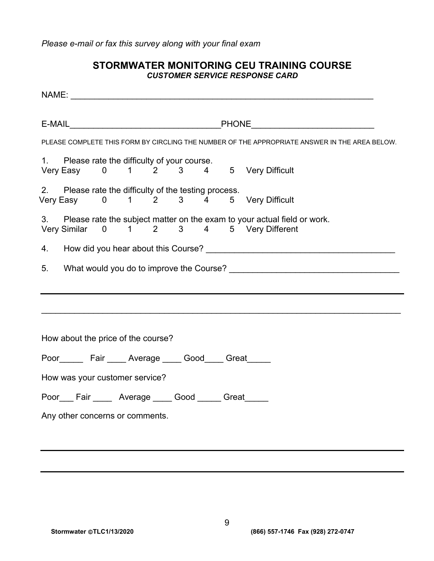*Please e-mail or fax this survey along with your final exam* 

# **STORMWATER MONITORING CEU TRAINING COURSE**  *CUSTOMER SERVICE RESPONSE CARD*

|                                                                                               | PLEASE COMPLETE THIS FORM BY CIRCLING THE NUMBER OF THE APPROPRIATE ANSWER IN THE AREA BELOW. |  |
|-----------------------------------------------------------------------------------------------|-----------------------------------------------------------------------------------------------|--|
| 1. Please rate the difficulty of your course.<br>Very Easy 0 1 2 3 4 5 Very Difficult         |                                                                                               |  |
| 2. Please rate the difficulty of the testing process.<br>Very Easy 0 1 2 3 4 5 Very Difficult |                                                                                               |  |
| Very Similar 0 1 2 3 4 5 Very Different                                                       | 3. Please rate the subject matter on the exam to your actual field or work.                   |  |
|                                                                                               |                                                                                               |  |
| 5.                                                                                            |                                                                                               |  |
|                                                                                               |                                                                                               |  |
|                                                                                               |                                                                                               |  |
|                                                                                               |                                                                                               |  |
| How about the price of the course?                                                            |                                                                                               |  |
| Poor________ Fair ______ Average ______ Good_____ Great______                                 |                                                                                               |  |
| How was your customer service?                                                                |                                                                                               |  |
| Poor Fair Average Good Great                                                                  |                                                                                               |  |
| Any other concerns or comments.                                                               |                                                                                               |  |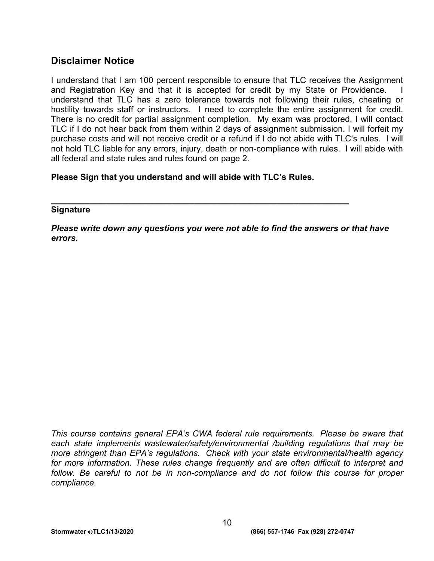# **Disclaimer Notice**

I understand that I am 100 percent responsible to ensure that TLC receives the Assignment and Registration Key and that it is accepted for credit by my State or Providence. I understand that TLC has a zero tolerance towards not following their rules, cheating or hostility towards staff or instructors. I need to complete the entire assignment for credit. There is no credit for partial assignment completion. My exam was proctored. I will contact TLC if I do not hear back from them within 2 days of assignment submission. I will forfeit my purchase costs and will not receive credit or a refund if I do not abide with TLC's rules. I will not hold TLC liable for any errors, injury, death or non-compliance with rules. I will abide with all federal and state rules and rules found on page 2.

**Please Sign that you understand and will abide with TLC's Rules.** 

**\_\_\_\_\_\_\_\_\_\_\_\_\_\_\_\_\_\_\_\_\_\_\_\_\_\_\_\_\_\_\_\_\_\_\_\_\_\_\_\_\_\_\_\_\_\_\_\_\_\_\_\_\_\_** 

#### **Signature**

*Please write down any questions you were not able to find the answers or that have errors.* 

*This course contains general EPA's CWA federal rule requirements. Please be aware that each state implements wastewater/safety/environmental /building regulations that may be more stringent than EPA's regulations. Check with your state environmental/health agency for more information. These rules change frequently and are often difficult to interpret and*  follow. Be careful to not be in non-compliance and do not follow this course for proper *compliance.*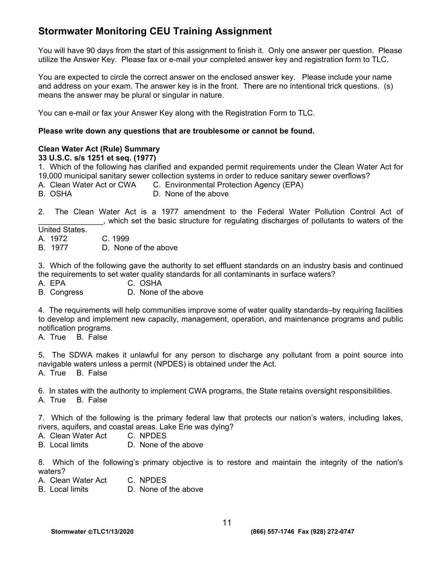# **Stormwater Monitoring CEU Training Assignment**

You will have 90 days from the start of this assignment to finish it. Only one answer per question. Please utilize the Answer Key. Please fax or e-mail your completed answer key and registration form to TLC.

You are expected to circle the correct answer on the enclosed answer key. Please include your name and address on your exam. The answer key is in the front. There are no intentional trick questions. (s) means the answer may be plural or singular in nature.

You can e-mail or fax your Answer Key along with the Registration Form to TLC.

#### **Please write down any questions that are troublesome or cannot be found.**

#### **Clean Water Act (Rule) Summary**

#### **33 U.S.C. s/s 1251 et seq. (1977)**

1. Which of the following has clarified and expanded permit requirements under the Clean Water Act for 19,000 municipal sanitary sewer collection systems in order to reduce sanitary sewer overflows?

- A. Clean Water Act or CWA C. Environmental Protection Agency (EPA)
- B. OSHA D. None of the above

2. The Clean Water Act is a 1977 amendment to the Federal Water Pollution Control Act of \_\_\_\_\_\_\_\_\_\_\_\_\_\_\_, which set the basic structure for regulating discharges of pollutants to waters of the

United States.

A. 1972 C. 1999

B. 1977 D. None of the above

3. Which of the following gave the authority to set effluent standards on an industry basis and continued the requirements to set water quality standards for all contaminants in surface waters?

- A. EPA C. OSHA
- B. Congress D. None of the above

4. The requirements will help communities improve some of water quality standards–by requiring facilities to develop and implement new capacity, management, operation, and maintenance programs and public notification programs.

A. True B. False

5. The SDWA makes it unlawful for any person to discharge any pollutant from a point source into navigable waters unless a permit (NPDES) is obtained under the Act.

A. True B. False

6. In states with the authority to implement CWA programs, the State retains oversight responsibilities.

A. True B. False

7. Which of the following is the primary federal law that protects our nation's waters, including lakes, rivers, aquifers, and coastal areas. Lake Erie was dying?

- A. Clean Water Act C. NPDES
- B. Local limits D. None of the above

8. Which of the following's primary objective is to restore and maintain the integrity of the nation's waters?

- A. Clean Water Act C. NPDES
- B. Local limits D. None of the above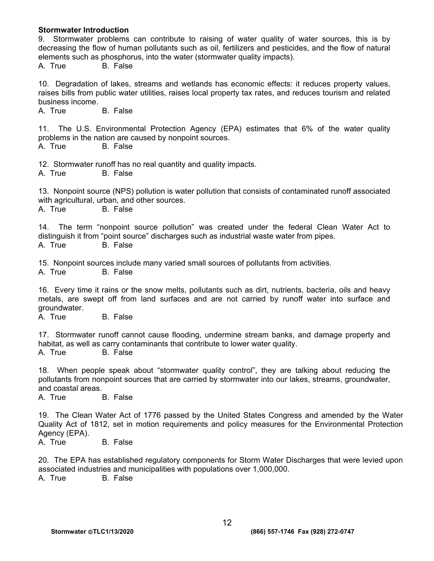#### **Stormwater Introduction**

9. Stormwater problems can contribute to raising of water quality of water sources, this is by decreasing the flow of human pollutants such as oil, fertilizers and pesticides, and the flow of natural elements such as phosphorus, into the water (stormwater quality impacts).

A. True B. False

10. Degradation of lakes, streams and wetlands has economic effects: it reduces property values, raises bills from public water utilities, raises local property tax rates, and reduces tourism and related business income.

A. True B. False

11. The U.S. Environmental Protection Agency (EPA) estimates that 6% of the water quality problems in the nation are caused by nonpoint sources.

A. True B. False

12. Stormwater runoff has no real quantity and quality impacts.

A. True B. False

13. Nonpoint source (NPS) pollution is water pollution that consists of contaminated runoff associated with agricultural, urban, and other sources.

A. True B. False

14. The term "nonpoint source pollution" was created under the federal Clean Water Act to distinguish it from "point source" discharges such as industrial waste water from pipes. A. True B. False

15. Nonpoint sources include many varied small sources of pollutants from activities.

A. True B. False

16. Every time it rains or the snow melts, pollutants such as dirt, nutrients, bacteria, oils and heavy metals, are swept off from land surfaces and are not carried by runoff water into surface and groundwater.

A. True B. False

17. Stormwater runoff cannot cause flooding, undermine stream banks, and damage property and habitat, as well as carry contaminants that contribute to lower water quality.

A. True B. False

18. When people speak about "stormwater quality control", they are talking about reducing the pollutants from nonpoint sources that are carried by stormwater into our lakes, streams, groundwater, and coastal areas.

A. True B. False

19. The Clean Water Act of 1776 passed by the United States Congress and amended by the Water Quality Act of 1812, set in motion requirements and policy measures for the Environmental Protection Agency (EPA).

A. True B. False

20. The EPA has established regulatory components for Storm Water Discharges that were levied upon associated industries and municipalities with populations over 1,000,000.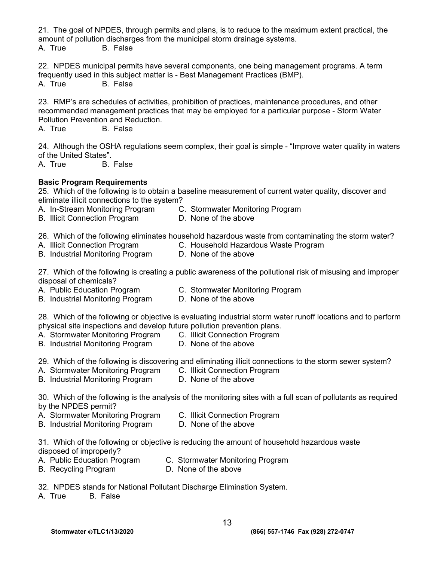21. The goal of NPDES, through permits and plans, is to reduce to the maximum extent practical, the amount of pollution discharges from the municipal storm drainage systems.

A. True B. False

22. NPDES municipal permits have several components, one being management programs. A term frequently used in this subject matter is - Best Management Practices (BMP).

A. True B. False

23. RMP's are schedules of activities, prohibition of practices, maintenance procedures, and other recommended management practices that may be employed for a particular purpose - Storm Water Pollution Prevention and Reduction.<br>A. True B. False

**B.** False

24. Although the OSHA regulations seem complex, their goal is simple - "Improve water quality in waters of the United States".

A. True B. False

# **Basic Program Requirements**

25. Which of the following is to obtain a baseline measurement of current water quality, discover and eliminate illicit connections to the system?

- A. In-Stream Monitoring Program C. Stormwater Monitoring Program
- B. Illicit Connection ProgramD. None of the above

26. Which of the following eliminates household hazardous waste from contaminating the storm water?

B. Industrial Monitoring Program

A. Illicit Connection Program **C. Household Hazardous Waste Program**<br>**B. Industrial Monitoring Program D. None of the above** 

27. Which of the following is creating a public awareness of the pollutional risk of misusing and improper disposal of chemicals?

- A.Public Education ProgramC. Stormwater Monitoring Program
- B. Industrial Monitoring Program D. None of the above

28. Which of the following or objective is evaluating industrial storm water runoff locations and to perform physical site inspections and develop future pollution prevention plans.<br>A. Stormwater Monitoring Program C. Illicit Connection Program

- A. Stormwater Monitoring Program C. Illicit Connection Pr<br>B. Industrial Monitoring Program D. None of the above
- B. Industrial Monitoring Program

29. Which of the following is discovering and eliminating illicit connections to the storm sewer system?

- A. Stormwater Monitoring ProgramC. Illicit Connection Program
- B. Industrial Monitoring Program
- 30. Which of the following is the analysis of the monitoring sites with a full scan of pollutants as required by the NPDES permit?
- A. Stormwater Monitoring ProgramC. Illicit Connection Program
- B. Industrial Monitoring Program D. None of the above

31. Which of the following or objective is reducing the amount of household hazardous waste disposed of improperly?<br>A. Public Education Program

- 
- A.Public Education Program C. Stormwater Monitoring Program
- B. Recycling Program D. None of the above
- 32. NPDES stands for National Pollutant Discharge Elimination System.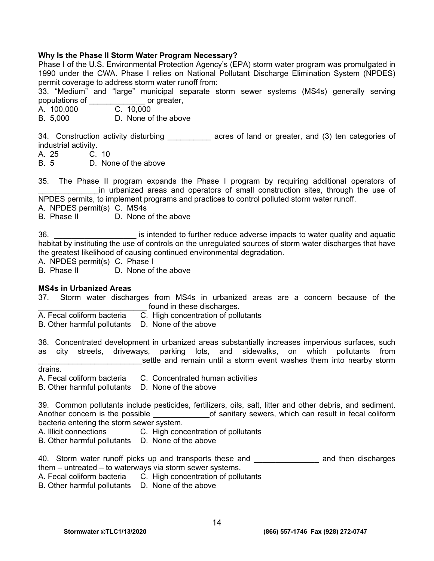#### **Why Is the Phase II Storm Water Program Necessary?**

Phase I of the U.S. Environmental Protection Agency's (EPA) storm water program was promulgated in 1990 under the CWA. Phase I relies on National Pollutant Discharge Elimination System (NPDES) permit coverage to address storm water runoff from:

33. "Medium" and "large" municipal separate storm sewer systems (MS4s) generally serving populations of \_\_\_\_\_\_\_\_\_\_\_\_\_ or greater,

A. 100,000

B. 5,000 D. None of the above

34. Construction activity disturbing \_\_\_\_\_\_\_\_\_\_\_ acres of land or greater, and (3) ten categories of industrial activity.

A. 25 C. 10

B. 5 D. None of the above

35. The Phase II program expands the Phase I program by requiring additional operators of in urbanized areas and operators of small construction sites, through the use of NPDES permits, to implement programs and practices to control polluted storm water runoff.

A. NPDES permit(s) C. MS4s

B. Phase II D. None of the above

36. \_\_\_\_\_\_\_\_\_\_\_\_\_\_\_\_\_\_\_ is intended to further reduce adverse impacts to water quality and aquatic habitat by instituting the use of controls on the unregulated sources of storm water discharges that have the greatest likelihood of causing continued environmental degradation.

A. NPDES permit(s) C. Phase I

B. Phase II D. None of the above

#### **MS4s in Urbanized Areas**

37. Storm water discharges from MS4s in urbanized areas are a concern because of the found in these discharges.

A. Fecal coliform bacteria C. High concentration of pollutants

B. Other harmful pollutants D. None of the above

38. Concentrated development in urbanized areas substantially increases impervious surfaces, such as city streets, driveways, parking lots, and sidewalks, on which pollutants from settle and remain until a storm event washes them into nearby storm

drains.

A. Fecal coliform bacteria C. Concentrated human activities

B. Other harmful pollutants D. None of the above

39. Common pollutants include pesticides, fertilizers, oils, salt, litter and other debris, and sediment. Another concern is the possible \_\_\_\_\_\_\_\_\_\_\_\_\_\_\_\_of sanitary sewers, which can result in fecal coliform bacteria entering the storm sewer system.

A. Illicit connections C. High concentration of pollutants

B. Other harmful pollutants D. None of the above

40. Storm water runoff picks up and transports these and **\_\_\_\_\_\_\_\_\_\_\_\_\_** and then discharges them – untreated – to waterways via storm sewer systems.

A. Fecal coliform bacteria C. High concentration of pollutants

B. Other harmful pollutants D. None of the above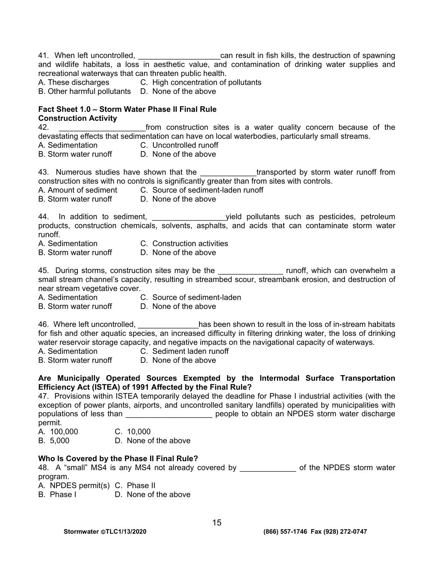41. When left uncontrolled, <u>entitled and the secan result in fish kills</u>, the destruction of spawning and wildlife habitats, a loss in aesthetic value, and contamination of drinking water supplies and recreational waterways that can threaten public health.

A. These discharges C. High concentration of pollutants

B. Other harmful pollutants D. None of the above

#### **Fact Sheet 1.0 – Storm Water Phase II Final Rule Construction Activity**

42. \_\_\_\_\_\_\_\_\_\_\_\_\_\_\_\_\_\_\_\_from construction sites is a water quality concern because of the devastating effects that sedimentation can have on local waterbodies, particularly small streams.

- A. Sedimentation C. Uncontrolled runoff
- B. Storm water runoff  $\Box$  D. None of the above

43. Numerous studies have shown that the \_\_\_\_\_\_\_\_\_\_\_\_\_\_transported by storm water runoff from construction sites with no controls is significantly greater than from sites with controls.

- A. Amount of sediment C. Source of sediment-laden runoff
- B. Storm water runoff D. None of the above

44. In addition to sediment, \_\_\_\_\_\_\_\_\_\_\_\_\_\_\_\_\_yield pollutants such as pesticides, petroleum products, construction chemicals, solvents, asphalts, and acids that can contaminate storm water runoff.

- A. Sedimentation C. Construction activities
	-
- B. Storm water runoff D. None of the above

45. During storms, construction sites may be the **Example 20** runoff, which can overwhelm a small stream channel's capacity, resulting in streambed scour, streambank erosion, and destruction of near stream vegetative cover.

- 
- A. Sedimentation C. Source of sediment-laden
- B. Storm water runoff D. None of the above

46. Where left uncontrolled, <u>entitled with a</u> has been shown to result in the loss of in-stream habitats for fish and other aquatic species, an increased difficulty in filtering drinking water, the loss of drinking water reservoir storage capacity, and negative impacts on the navigational capacity of waterways.

- 
- A. Sedimentation C. Sediment laden runoff
- B. Storm water runoff D. None of the above
- 

#### **Are Municipally Operated Sources Exempted by the Intermodal Surface Transportation Efficiency Act (ISTEA) of 1991 Affected by the Final Rule?**

47. Provisions within ISTEA temporarily delayed the deadline for Phase I industrial activities (with the exception of power plants, airports, and uncontrolled sanitary landfills) operated by municipalities with populations of less than  $\Box$  people to obtain an NPDES storm water discharge permit. A. 100,000 C. 10,000

B. 5,000 D. None of the above

#### **Who Is Covered by the Phase II Final Rule?**

48. A "small" MS4 is any MS4 not already covered by \_\_\_\_\_\_\_\_\_\_\_\_\_\_ of the NPDES storm water program.

- A. NPDES permit(s) C. Phase II
- B. Phase I D. None of the above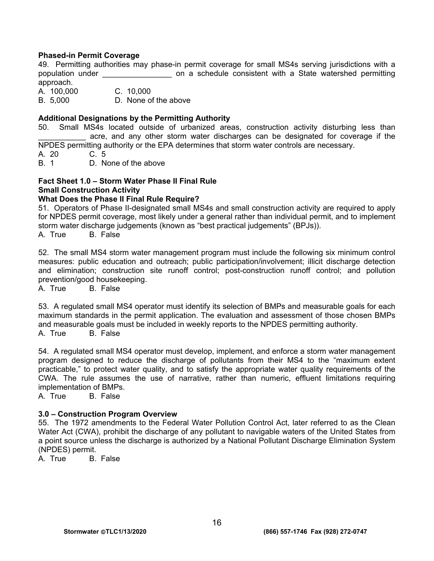#### **Phased-in Permit Coverage**

49. Permitting authorities may phase-in permit coverage for small MS4s serving jurisdictions with a population under \_\_\_\_\_\_\_\_\_\_\_\_\_\_\_\_ on a schedule consistent with a State watershed permitting approach. A. 100,000 C. 10,000

B. 5,000 D. None of the above

#### **Additional Designations by the Permitting Authority**

50. Small MS4s located outside of urbanized areas, construction activity disturbing less than acre, and any other storm water discharges can be designated for coverage if the NPDES permitting authority or the EPA determines that storm water controls are necessary.

A. 20 C. 5

B. 1 D. None of the above

# **Fact Sheet 1.0 – Storm Water Phase II Final Rule Small Construction Activity**

#### **What Does the Phase II Final Rule Require?**

51. Operators of Phase II-designated small MS4s and small construction activity are required to apply for NPDES permit coverage, most likely under a general rather than individual permit, and to implement storm water discharge judgements (known as "best practical judgements" (BPJs)).

A. True B. False

52. The small MS4 storm water management program must include the following six minimum control measures: public education and outreach; public participation/involvement; illicit discharge detection and elimination; construction site runoff control; post-construction runoff control; and pollution prevention/good housekeeping.

A. True B. False

53. A regulated small MS4 operator must identify its selection of BMPs and measurable goals for each maximum standards in the permit application. The evaluation and assessment of those chosen BMPs and measurable goals must be included in weekly reports to the NPDES permitting authority. A. True B. False

54. A regulated small MS4 operator must develop, implement, and enforce a storm water management program designed to reduce the discharge of pollutants from their MS4 to the "maximum extent practicable," to protect water quality, and to satisfy the appropriate water quality requirements of the CWA. The rule assumes the use of narrative, rather than numeric, effluent limitations requiring implementation of BMPs.

A. True B. False

#### **3.0 – Construction Program Overview**

55. The 1972 amendments to the Federal Water Pollution Control Act, later referred to as the Clean Water Act (CWA), prohibit the discharge of any pollutant to navigable waters of the United States from a point source unless the discharge is authorized by a National Pollutant Discharge Elimination System (NPDES) permit.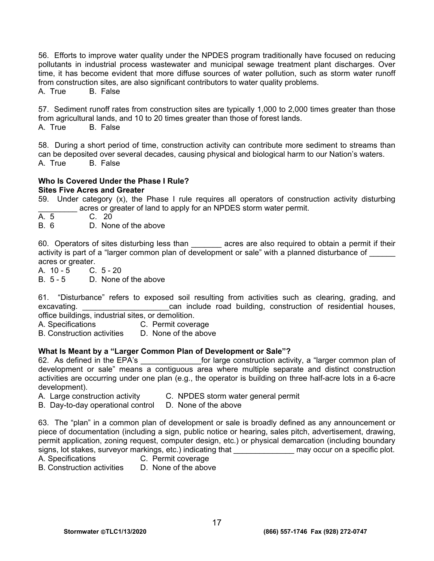56. Efforts to improve water quality under the NPDES program traditionally have focused on reducing pollutants in industrial process wastewater and municipal sewage treatment plant discharges. Over time, it has become evident that more diffuse sources of water pollution, such as storm water runoff from construction sites, are also significant contributors to water quality problems.

A. True B. False

57. Sediment runoff rates from construction sites are typically 1,000 to 2,000 times greater than those from agricultural lands, and 10 to 20 times greater than those of forest lands. A. True B. False

58. During a short period of time, construction activity can contribute more sediment to streams than can be deposited over several decades, causing physical and biological harm to our Nation's waters. A. True B. False

#### **Who Is Covered Under the Phase I Rule? Sites Five Acres and Greater**

- 59. Under category (x), the Phase I rule requires all operators of construction activity disturbing acres or greater of land to apply for an NPDES storm water permit.
- A. 5 C. 20
- B. 6 D. None of the above

60. Operators of sites disturbing less than **the acres are also required to obtain a permit if their** activity is part of a "larger common plan of development or sale" with a planned disturbance of \_\_\_\_\_\_ acres or greater.

A. 10 - 5 C. 5 - 20

B. 5 - 5 D. None of the above

61. "Disturbance" refers to exposed soil resulting from activities such as clearing, grading, and excavating. **Excavating** excavating. **Excavating** excavating. **Excavating** excavating, construction of residential houses,

office buildings, industrial sites, or demolition.<br>A. Specifications C. Permit cover C. Permit coverage

B. Construction activities D. None of the above

#### **What Is Meant by a "Larger Common Plan of Development or Sale"?**

62. As defined in the EPA's **Example 2.** for large construction activity, a "larger common plan of development or sale" means a contiguous area where multiple separate and distinct construction activities are occurring under one plan (e.g., the operator is building on three half-acre lots in a 6-acre development).

- A. Large construction activity C. NPDES storm water general permit
- B. Day-to-day operational control D. None of the above

63. The "plan" in a common plan of development or sale is broadly defined as any announcement or piece of documentation (including a sign, public notice or hearing, sales pitch, advertisement, drawing, permit application, zoning request, computer design, etc.) or physical demarcation (including boundary signs, lot stakes, surveyor markings, etc.) indicating that \_\_\_\_\_\_\_\_\_\_\_\_\_\_\_\_\_\_ may occur on a specific plot.

- 
- A. Specifications C. Permit coverage

B. Construction activities D. None of the above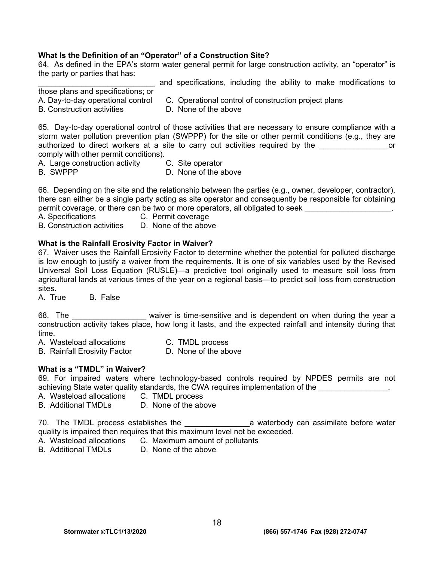#### **What Is the Definition of an "Operator" of a Construction Site?**

64. As defined in the EPA's storm water general permit for large construction activity, an "operator" is the party or parties that has:

and specifications, including the ability to make modifications to

- those plans and specifications; or
- A. Day-to-day operational control C. Operational control of construction project plans
- B. Construction activities **D. None of the above** 
	-

65. Day-to-day operational control of those activities that are necessary to ensure compliance with a storm water pollution prevention plan (SWPPP) for the site or other permit conditions (e.g., they are authorized to direct workers at a site to carry out activities required by the \_\_\_\_\_\_\_\_\_\_\_\_\_\_\_\_\_\_\_\_\_or comply with other permit conditions).

- A. Large construction activity C. Site operator<br>B. SWPPP C. None of the a
	- D. None of the above

66. Depending on the site and the relationship between the parties (e.g., owner, developer, contractor), there can either be a single party acting as site operator and consequently be responsible for obtaining permit coverage, or there can be two or more operators, all obligated to seek

- 
- A. Specifications C. Permit coverage
- B. Construction activities D. None of the above

#### **What is the Rainfall Erosivity Factor in Waiver?**

67. Waiver uses the Rainfall Erosivity Factor to determine whether the potential for polluted discharge is low enough to justify a waiver from the requirements. It is one of six variables used by the Revised Universal Soil Loss Equation (RUSLE)—a predictive tool originally used to measure soil loss from agricultural lands at various times of the year on a regional basis—to predict soil loss from construction sites.

A. True B. False

68. The \_\_\_\_\_\_\_\_\_\_\_\_\_\_\_\_\_\_\_\_ waiver is time-sensitive and is dependent on when during the year a construction activity takes place, how long it lasts, and the expected rainfall and intensity during that time.

- A. Wasteload allocations C. TMDL process<br>
B. Rainfall Erosivity Factor B. None of the above
- B. Rainfall Erosivity Factor

#### **What is a "TMDL" in Waiver?**

69. For impaired waters where technology-based controls required by NPDES permits are not achieving State water quality standards, the CWA requires implementation of the **with the contract of the contract** 

- A. Wasteload allocations C. TMDL process
- B. Additional TMDLs D. None of the above

70. The TMDL process establishes the \_\_\_\_\_\_\_\_\_\_\_\_\_\_\_\_\_\_\_\_\_\_\_\_\_a waterbody can assimilate before water quality is impaired then requires that this maximum level not be exceeded.

- A. Wasteload allocations C. Maximum amount of pollutants
- B. Additional TMDLs D. None of the above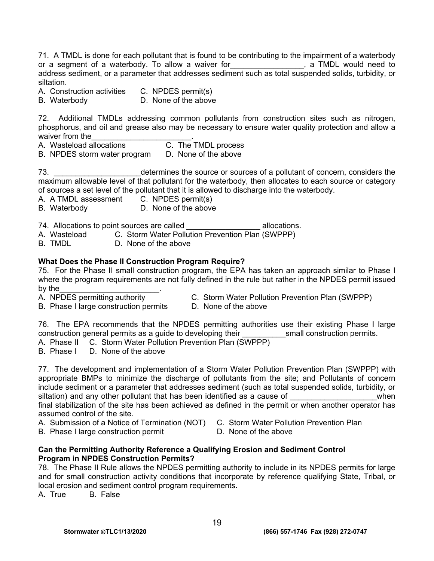71. A TMDL is done for each pollutant that is found to be contributing to the impairment of a waterbody or a segment of a waterbody. To allow a waiver for  $\cdot$  a TMDL would need to or a segment of a waterbody. To allow a waiver for **TADL World Network** address sediment, or a parameter that addresses sediment such as total suspended solids, turbidity, or siltation.

A. Construction activities C. NPDES permit(s)

B. Waterbody D. None of the above

72. Additional TMDLs addressing common pollutants from construction sites such as nitrogen, phosphorus, and oil and grease also may be necessary to ensure water quality protection and allow a waiver from the<br>A. Wasteload allocations <br>A. Wasteload allocations <br>C. The TMDL process

- A. Wasteload allocations C. The TMDL process<br>B. NPDES storm water program D. None of the above
- B. NPDES storm water program

73. \_\_\_\_\_\_\_\_\_\_\_\_\_\_\_\_\_\_\_\_determines the source or sources of a pollutant of concern, considers the maximum allowable level of that pollutant for the waterbody, then allocates to each source or category of sources a set level of the pollutant that it is allowed to discharge into the waterbody.

A. A TMDL assessment C. NPDES permit(s)

B. Waterbody D. None of the above

74. Allocations to point sources are called  $\blacksquare$  allocations.

A. Wasteload C. Storm Water Pollution Prevention Plan (SWPPP)

B. TMDL D. None of the above

#### **What Does the Phase II Construction Program Require?**

75. For the Phase II small construction program, the EPA has taken an approach similar to Phase I where the program requirements are not fully defined in the rule but rather in the NPDES permit issued by the\_\_\_\_\_\_\_\_\_\_\_\_\_\_\_\_\_\_\_\_\_\_\_.

- A. NPDES permitting authority C. Storm Water Pollution Prevention Plan (SWPPP)
- B. Phase I large construction permits D. None of the above
	-

76. The EPA recommends that the NPDES permitting authorities use their existing Phase I large construction general permits as a guide to developing their example is small construction permits.

A. Phase II C. Storm Water Pollution Prevention Plan (SWPPP)

B. Phase I D. None of the above

77. The development and implementation of a Storm Water Pollution Prevention Plan (SWPPP) with appropriate BMPs to minimize the discharge of pollutants from the site; and Pollutants of concern include sediment or a parameter that addresses sediment (such as total suspended solids, turbidity, or siltation) and any other pollutant that has been identified as a cause of  $\blacksquare$ final stabilization of the site has been achieved as defined in the permit or when another operator has assumed control of the site.

- A. Submission of a Notice of Termination (NOT) C. Storm Water Pollution Prevention Plan
- 
- B. Phase I large construction permit D. None of the above
- 

#### **Can the Permitting Authority Reference a Qualifying Erosion and Sediment Control Program in NPDES Construction Permits?**

78. The Phase II Rule allows the NPDES permitting authority to include in its NPDES permits for large and for small construction activity conditions that incorporate by reference qualifying State, Tribal, or local erosion and sediment control program requirements.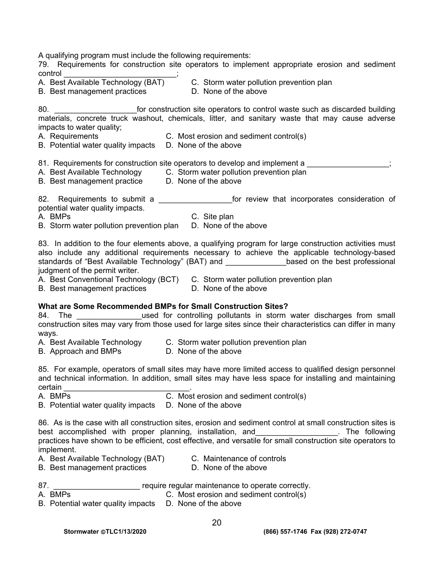A qualifying program must include the following requirements:

79. Requirements for construction site operators to implement appropriate erosion and sediment

- control \_\_\_\_\_\_\_\_\_\_\_\_\_\_\_\_\_\_\_\_\_\_\_\_\_\_; B. Best management practices
- C. Storm water pollution prevention plan<br>D. None of the above
- 

80. **Example 30.** For construction site operators to control waste such as discarded building materials, concrete truck washout, chemicals, litter, and sanitary waste that may cause adverse impacts to water quality;

- A. Requirements C. Most erosion and sediment control(s)
- B. Potential water quality impacts D. None of the above
- 81. Requirements for construction site operators to develop and implement a  $\hspace{1.5cm}$ ;
- A. Best Available Technology C. Storm water pollution prevention plan
- B. Best management practice D. None of the above

82. Requirements to submit a \_\_\_\_\_\_\_\_\_\_\_\_\_\_\_\_\_for review that incorporates consideration of potential water quality impacts.

A. BMPs C. Site plan

B. Storm water pollution prevention plan D. None of the above

83. In addition to the four elements above, a qualifying program for large construction activities must also include any additional requirements necessary to achieve the applicable technology-based standards of "Best Available Technology" (BAT) and \_\_\_\_\_\_\_\_\_\_\_\_\_\_\_\_based on the best professional judgment of the permit writer.

A. Best Conventional Technology (BCT) C. Storm water pollution prevention plan

B. Best management practices D. None of the above

# **What are Some Recommended BMPs for Small Construction Sites?**

84. The state of the used for controlling pollutants in storm water discharges from small construction sites may vary from those used for large sites since their characteristics can differ in many ways.

- B. Approach and BMPs
- A. Best Available Technology C. Storm water pollution prevention plan<br>B. Approach and BMPs C. None of the above

85. For example, operators of small sites may have more limited access to qualified design personnel and technical information. In addition, small sites may have less space for installing and maintaining certain \_\_\_\_\_\_\_\_\_\_\_\_\_\_\_\_\_\_\_\_\_\_\_\_\_\_\_\_\_.

- A. BMPs C. Most erosion and sediment control(s)
- B. Potential water quality impacts D. None of the above

86. As is the case with all construction sites, erosion and sediment control at small construction sites is best accomplished with proper planning, installation, and **with the induction** and the following practices have shown to be efficient, cost effective, and versatile for small construction site operators to implement.

- A. Best Available Technology (BAT) C. Maintenance of controls
	-
- B. Best management practices D. None of the above
- 
- 87. \_\_\_\_\_\_\_\_\_\_\_\_\_\_\_\_\_\_\_\_\_\_\_\_ require regular maintenance to operate correctly.
- A. BMPs **C.** Most erosion and sediment control(s)
- B. Potential water quality impacts D. None of the above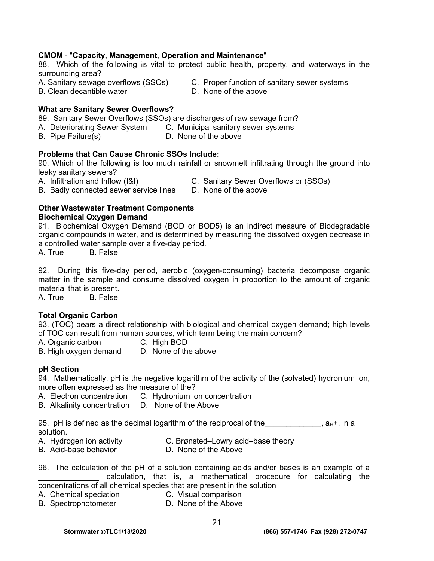#### **CMOM** - "**Capacity, Management, Operation and Maintenance**"

88. Which of the following is vital to protect public health, property, and waterways in the surrounding area?

B. Clean decantible water

- A. Sanitary sewage overflows (SSOs) C. Proper function of sanitary sewer systems<br>B. Clean decantible water **C. Communisty** D. None of the above
	-

#### **What are Sanitary Sewer Overflows?**

89. Sanitary Sewer Overflows (SSOs) are discharges of raw sewage from?

- A. Deteriorating Sewer System C. Municipal sanitary sewer systems
- B. Pipe Failure(s) D. None of the above

#### **Problems that Can Cause Chronic SSOs Include:**

90. Which of the following is too much rainfall or snowmelt infiltrating through the ground into leaky sanitary sewers?

A. Infiltration and Inflow (I&I) C. Sanitary Sewer Overflows or (SSOs)

B. Badly connected sewer service lines D. None of the above

#### **Other Wastewater Treatment Components Biochemical Oxygen Demand**

91. Biochemical Oxygen Demand (BOD or BOD5) is an indirect measure of Biodegradable organic compounds in water, and is determined by measuring the dissolved oxygen decrease in a controlled water sample over a five-day period.

A. True B. False

92. During this five-day period, aerobic (oxygen-consuming) bacteria decompose organic matter in the sample and consume dissolved oxygen in proportion to the amount of organic material that is present.

A. True B. False

#### **Total Organic Carbon**

93. (TOC) bears a direct relationship with biological and chemical oxygen demand; high levels of TOC can result from human sources, which term being the main concern?

A. Organic carbon C. High BOD

- 
- B. High oxygen demand D. None of the above

#### **pH Section**

94. Mathematically, pH is the negative logarithm of the activity of the (solvated) hydronium ion, more often expressed as the measure of the?

- A. Electron concentration C. Hydronium ion concentration
- B. Alkalinity concentration D. None of the Above

95. pH is defined as the decimal logarithm of the reciprocal of the  $\mathbf{a}_{H+}$ , in a solution.

- A. Hydrogen ion activity C. Brønsted–Lowry acid–base theory
- B. Acid-base behavior **D. None of the Above**
- 96. The calculation of the pH of a solution containing acids and/or bases is an example of a \_\_\_\_\_\_\_\_\_\_\_\_\_\_ calculation, that is, a mathematical procedure for calculating the concentrations of all chemical species that are present in the solution
- A. Chemical speciation C. Visual comparison
	-
- B. Spectrophotometer D. None of the Above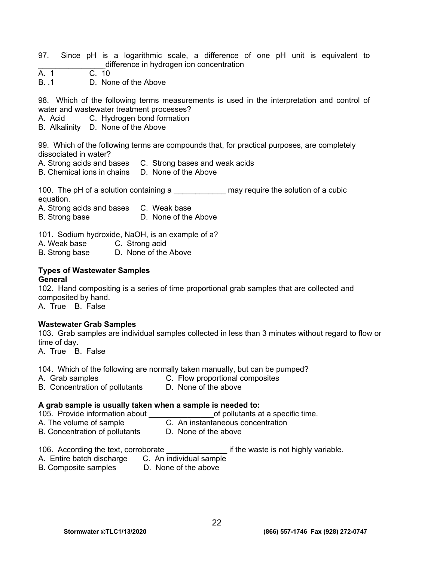- 97. Since pH is a logarithmic scale, a difference of one pH unit is equivalent to difference in hydrogen ion concentration
- $\overline{A}$  1 C. 10
- B. .1 D. None of the Above

98. Which of the following terms measurements is used in the interpretation and control of water and wastewater treatment processes?

- A. Acid C. Hydrogen bond formation
- B. Alkalinity D. None of the Above

99. Which of the following terms are compounds that, for practical purposes, are completely dissociated in water?

- A. Strong acids and bases C. Strong bases and weak acids
- B. Chemical ions in chains D. None of the Above

100. The pH of a solution containing a \_\_\_\_\_\_\_\_\_\_\_\_\_\_\_ may require the solution of a cubic equation.

A. Strong acids and bases C. Weak base

B. Strong base D. None of the Above

101. Sodium hydroxide, NaOH, is an example of a?

- A. Weak base C. Strong acid
- B. Strong base D. None of the Above

# **Types of Wastewater Samples**

**General** 

102. Hand compositing is a series of time proportional grab samples that are collected and composited by hand.

A. True B. False

#### **Wastewater Grab Samples**

103. Grab samples are individual samples collected in less than 3 minutes without regard to flow or time of day.

A. True B. False

104. Which of the following are normally taken manually, but can be pumped?

- A. Grab samples **C. Flow proportional composites**
- B. Concentration of pollutants D. None of the above

#### **A grab sample is usually taken when a sample is needed to:**

- 105. Provide information about **the contract of pollutants at a specific time.**
- A. The volume of sample C. An instantaneous concentration
- B. Concentration of pollutants D. None of the above

#### 106. According the text, corroborate **the set of the waste is not highly variable.**

- A. Entire batch discharge C. An individual sample
- B. Composite samples D. None of the above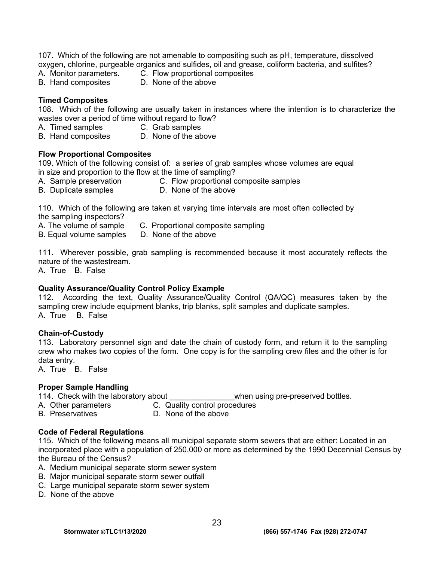107. Which of the following are not amenable to compositing such as pH, temperature, dissolved oxygen, chlorine, purgeable organics and sulfides, oil and grease, coliform bacteria, and sulfites?

- B. Hand composites
- A. Monitor parameters. C. Flow proportional composites<br>B. Hand composites B. None of the above

#### **Timed Composites**

108. Which of the following are usually taken in instances where the intention is to characterize the wastes over a period of time without regard to flow?

- A. Timed samples C. Grab samples
	-
- B. Hand composites D. None of the above

#### **Flow Proportional Composites**

109. Which of the following consist of: a series of grab samples whose volumes are equal in size and proportion to the flow at the time of sampling?

- A. Sample preservation C. Flow proportional composite samples
- 
- B. Duplicate samples D. None of the above

110. Which of the following are taken at varying time intervals are most often collected by the sampling inspectors?

- A. The volume of sample C. Proportional composite sampling
- B. Equal volume samples D. None of the above
- 111. Wherever possible, grab sampling is recommended because it most accurately reflects the

nature of the wastestream.

A. True B. False

#### **Quality Assurance/Quality Control Policy Example**

112. According the text, Quality Assurance/Quality Control (QA/QC) measures taken by the sampling crew include equipment blanks, trip blanks, split samples and duplicate samples. A. True B. False

#### **Chain-of-Custody**

113. Laboratory personnel sign and date the chain of custody form, and return it to the sampling crew who makes two copies of the form. One copy is for the sampling crew files and the other is for data entry.

A. True B. False

#### **Proper Sample Handling**

114. Check with the laboratory about \_\_\_\_\_\_\_\_\_\_\_\_\_\_\_\_\_\_\_when using pre-preserved bottles.

- A. Other parameters **C.** Quality control procedures
	-
	- B. Preservatives D. None of the above

# **Code of Federal Regulations**

115. Which of the following means all municipal separate storm sewers that are either: Located in an incorporated place with a population of 250,000 or more as determined by the 1990 Decennial Census by the Bureau of the Census?

- A. Medium municipal separate storm sewer system
- B. Major municipal separate storm sewer outfall
- C. Large municipal separate storm sewer system
- D. None of the above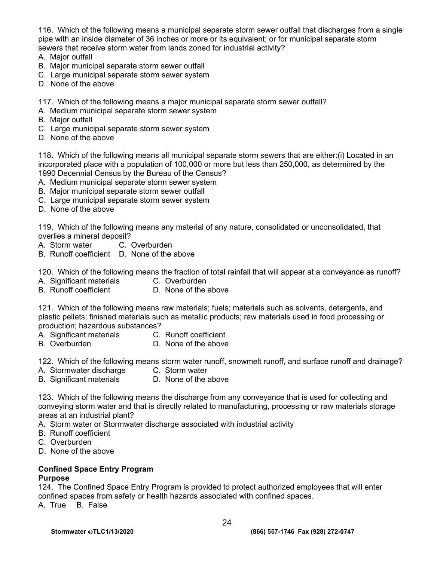116. Which of the following means a municipal separate storm sewer outfall that discharges from a single pipe with an inside diameter of 36 inches or more or its equivalent; or for municipal separate storm sewers that receive storm water from lands zoned for industrial activity?

- A. Major outfall
- B. Major municipal separate storm sewer outfall
- C. Large municipal separate storm sewer system
- D. None of the above

117. Which of the following means a major municipal separate storm sewer outfall?

- A. Medium municipal separate storm sewer system
- B. Major outfall
- C. Large municipal separate storm sewer system
- D. None of the above

118. Which of the following means all municipal separate storm sewers that are either:(i) Located in an incorporated place with a population of 100,000 or more but less than 250,000, as determined by the 1990 Decennial Census by the Bureau of the Census?

- A. Medium municipal separate storm sewer system
- B. Major municipal separate storm sewer outfall
- C. Large municipal separate storm sewer system
- D. None of the above

119. Which of the following means any material of any nature, consolidated or unconsolidated, that overlies a mineral deposit?

- A. Storm water C. Overburden
- B. Runoff coefficient D. None of the above

120. Which of the following means the fraction of total rainfall that will appear at a conveyance as runoff?

- A. Significant materials C. Overburden
- B. Runoff coefficient D. None of the above

121. Which of the following means raw materials; fuels; materials such as solvents, detergents, and plastic pellets; finished materials such as metallic products; raw materials used in food processing or production; hazardous substances?

- A. Significant materials C. Runoff coefficient
- B. Overburden **D. None of the above**

122. Which of the following means storm water runoff, snowmelt runoff, and surface runoff and drainage?

- A. Stormwater discharge C. Storm water<br>
B. Significant materials C. None of the above
- B. Significant materials

123. Which of the following means the discharge from any conveyance that is used for collecting and conveying storm water and that is directly related to manufacturing, processing or raw materials storage areas at an industrial plant?

- A. Storm water or Stormwater discharge associated with industrial activity
- B. Runoff coefficient
- C. Overburden
- D. None of the above

#### **Confined Space Entry Program**

#### **Purpose**

124. The Confined Space Entry Program is provided to protect authorized employees that will enter confined spaces from safety or health hazards associated with confined spaces.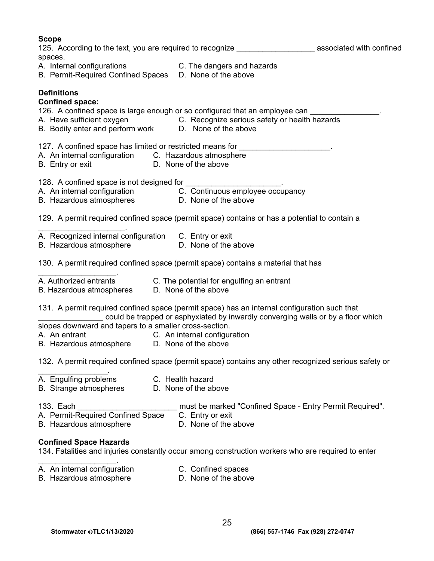| <b>Scope</b><br>spaces.                                                                                      | 125. According to the text, you are required to recognize The massociated with confined                                                                                          |  |
|--------------------------------------------------------------------------------------------------------------|----------------------------------------------------------------------------------------------------------------------------------------------------------------------------------|--|
|                                                                                                              | A. Internal configurations C. The dangers and hazards<br>B. Permit-Required Confined Spaces D. None of the above                                                                 |  |
| <b>Definitions</b><br><b>Confined space:</b><br>B. Bodily enter and perform work D. None of the above        | 126. A confined space is large enough or so configured that an employee can<br>A. Have sufficient oxygen C. Recognize serious safety or health hazards                           |  |
| A. An internal configuration C. Hazardous atmosphere<br>B. Entry or exit                                     | 127. A confined space has limited or restricted means for ______________________<br>D. None of the above                                                                         |  |
| 128. A confined space is not designed for<br>B. Hazardous atmospheres D. None of the above                   | A. An internal configuration C. Continuous employee occupancy                                                                                                                    |  |
|                                                                                                              | 129. A permit required confined space (permit space) contains or has a potential to contain a                                                                                    |  |
| A. Recognized internal configuration C. Entry or exit<br>B. Hazardous atmosphere <b>D. None of the above</b> |                                                                                                                                                                                  |  |
|                                                                                                              | 130. A permit required confined space (permit space) contains a material that has                                                                                                |  |
| B. Hazardous atmospheres D. None of the above                                                                | A. Authorized entrants C. The potential for engulfing an entrant                                                                                                                 |  |
|                                                                                                              | 131. A permit required confined space (permit space) has an internal configuration such that<br>could be trapped or asphyxiated by inwardly converging walls or by a floor which |  |
| slopes downward and tapers to a smaller cross-section.<br>A. An entrant                                      | C. An internal configuration                                                                                                                                                     |  |
| B. Hazardous atmosphere D. None of the above                                                                 |                                                                                                                                                                                  |  |
|                                                                                                              | 132. A permit required confined space (permit space) contains any other recognized serious safety or                                                                             |  |
| A. Engulfing problems<br><b>B.</b> Strange atmospheres                                                       | C. Health hazard<br>D. None of the above                                                                                                                                         |  |
| 133. Each<br>A. Permit-Required Confined Space<br>B. Hazardous atmosphere                                    | must be marked "Confined Space - Entry Permit Required".<br>C. Entry or exit<br>D. None of the above                                                                             |  |
| <b>Confined Space Hazards</b>                                                                                | 134. Fatalities and injuries constantly occur among construction workers who are required to enter                                                                               |  |

- A. An internal configuration **C. Confined spaces** 
	-
- B. Hazardous atmosphere **D. None of the above**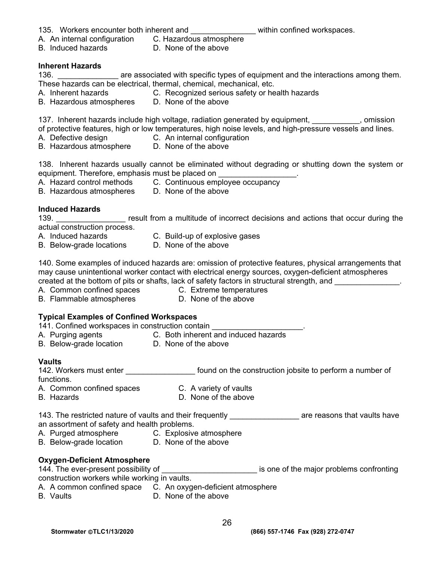- 135. Workers encounter both inherent and \_\_\_\_\_\_\_\_\_\_\_\_\_\_\_\_\_\_\_within confined workspaces.
	-

- A. An internal configuration C. Hazardous atmosphere D. None of the above
- **Inherent Hazards**

136. **Example 20 are associated with specific types of equipment and the interactions among them.** These hazards can be electrical, thermal, chemical, mechanical, etc.

- A. Inherent hazards C. Recognized serious safety or health hazards
- A. Innerent hazards C. Recognized seriou<br>B. Hazardous atmospheres D. None of the above

137. Inherent hazards include high voltage, radiation generated by equipment, entity comission

of protective features, high or low temperatures, high noise levels, and high-pressure vessels and lines.

- A. Defective design C. An internal configuration
- B. Hazardous atmosphere D. None of the above

138. Inherent hazards usually cannot be eliminated without degrading or shutting down the system or equipment. Therefore, emphasis must be placed on

- A. Hazard control methods C. Continuous employee occupancy
- B. Hazardous atmospheres D. None of the above
	-

# **Induced Hazards**

139. **Example 139.** The result from a multitude of incorrect decisions and actions that occur during the actual construction process.

- 
- A. Induced hazards C. Build-up of explosive gases
- B. Below-grade locations D. None of the above
	-

140. Some examples of induced hazards are: omission of protective features, physical arrangements that may cause unintentional worker contact with electrical energy sources, oxygen-deficient atmospheres created at the bottom of pits or shafts, lack of safety factors in structural strength, and

- A. Common confined spaces C. Extreme temperatures
- B. Flammable atmospheres **D.** None of the above

# **Typical Examples of Confined Workspaces**

- 141. Confined workspaces in construction contain A. Purging agents C. Both inherent and induced hazards
- 
- B. Below-grade location **D. None of the above**

# **Vaults**

| 142. Workers must enter                                   | found on the construction jobsite to perform a number of |  |
|-----------------------------------------------------------|----------------------------------------------------------|--|
| functions.                                                |                                                          |  |
| A. Common confined spaces                                 | C. A variety of vaults                                   |  |
| <b>B.</b> Hazards                                         | D. None of the above                                     |  |
| 143. The restricted nature of vaults and their frequently | are reasons that vaults have                             |  |
| an assortment of safety and health problems.              |                                                          |  |
| A. Purged atmosphere                                      | C. Explosive atmosphere                                  |  |
| B. Below-grade location                                   | D. None of the above                                     |  |

# **Oxygen-Deficient Atmosphere**

 $\overline{\phantom{a} \phantom{a}}$  is one of the major problems confronting

construction workers while working in vaults.

- A. A common confined space C. An oxygen-deficient atmosphere
- B. Vaults **D. None of the above**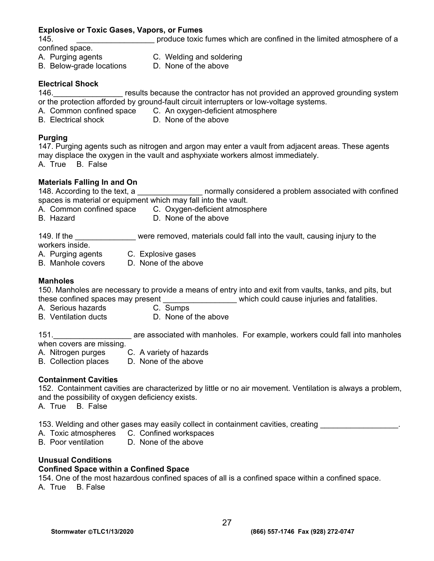#### **Explosive or Toxic Gases, Vapors, or Fumes**

145. **\_\_\_\_\_\_\_\_\_\_\_\_\_\_\_\_\_\_\_\_** produce toxic fumes which are confined in the limited atmosphere of a confined space.

A. Purging agents C. Welding and soldering

- 
- 
- B. Below-grade locations D. None of the above

#### **Electrical Shock**

146. **Example 20 results because the contractor has not provided an approved grounding system** or the protection afforded by ground-fault circuit interrupters or low-voltage systems.

- A. Common confined space C. An oxygen-deficient atmosphere
- B. Electrical shock D. None of the above

#### **Purging**

147. Purging agents such as nitrogen and argon may enter a vault from adjacent areas. These agents may displace the oxygen in the vault and asphyxiate workers almost immediately. A. True B. False

**Materials Falling In and On**  normally considered a problem associated with confined spaces is material or equipment which may fall into the vault.

- A. Common confined space C. Oxygen-deficient atmosphere
- B. Hazard **D. None of the above** 
	-

149. If the \_\_\_\_\_\_\_\_\_\_\_\_\_\_\_ were removed, materials could fall into the vault, causing injury to the workers inside.

- A. Purging agents C. Explosive gases
- B. Manhole covers D. None of the above

#### **Manholes**

150. Manholes are necessary to provide a means of entry into and exit from vaults, tanks, and pits, but these confined spaces may present \_\_\_\_\_\_\_\_\_\_\_\_\_\_\_\_\_\_\_\_\_\_ which could cause injuries and fatalities.

- A.Serious hazards C. Sumps
	-
- 
- B. Ventilation ducts D. None of the above

151.\_\_\_\_\_\_\_\_\_\_\_\_\_\_\_\_\_\_ are associated with manholes. For example, workers could fall into manholes when covers are missing.

- A. Nitrogen purges C. A variety of hazards
- B. Collection places D. None of the above

#### **Containment Cavities**

152. Containment cavities are characterized by little or no air movement. Ventilation is always a problem, and the possibility of oxygen deficiency exists.

A. True B. False

153. Welding and other gases may easily collect in containment cavities, creating

- A. Toxic atmospheres C. Confined workspaces
- B. Poor ventilation D. None of the above

#### **Unusual Conditions**

#### **Confined Space within a Confined Space**

154. One of the most hazardous confined spaces of all is a confined space within a confined space. A. True B. False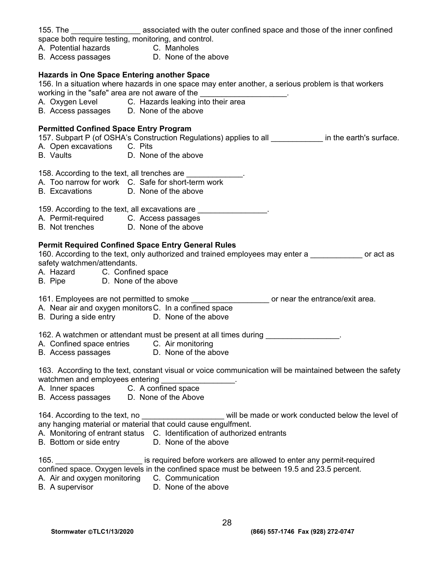| 155. The ________________________ associated with the outer confined space and those of the inner confined<br>space both require testing, monitoring, and control.<br>A. Potential hazards C. Manholes<br>B. Access passages D. None of th<br>D. None of the above                                                                                                                                                                |
|-----------------------------------------------------------------------------------------------------------------------------------------------------------------------------------------------------------------------------------------------------------------------------------------------------------------------------------------------------------------------------------------------------------------------------------|
| <b>Hazards in One Space Entering another Space</b><br>156. In a situation where hazards in one space may enter another, a serious problem is that workers<br>working in the "safe" area are not aware of the<br>working in the "safe" area are not aware of the ______________________.<br>A. Oxygen Level ________C. Hazards leaking into their area<br>B. Access passages D. None of the above                                  |
| <b>Permitted Confined Space Entry Program</b><br>157. Subpart P (of OSHA's Construction Regulations) applies to all ____________ in the earth's surface.<br>A. Open excavations C. Pits<br>B. Vaults <b>D. None of the above</b>                                                                                                                                                                                                  |
| 158. According to the text, all trenches are _____________.<br>A. Too narrow for work C. Safe for short-term work<br>B. Excavations D. None of the above                                                                                                                                                                                                                                                                          |
| 159. According to the text, all excavations are _________________.<br>A. Permit-required C. Access passages<br>B. Not trenches D. None of the above                                                                                                                                                                                                                                                                               |
| <b>Permit Required Confined Space Entry General Rules</b><br>160. According to the text, only authorized and trained employees may enter a same or act as<br>safety watchmen/attendants.<br>A. Hazard C. Confined space<br>B. Pipe D. None of the above                                                                                                                                                                           |
| 161. Employees are not permitted to smoke _______________________ or near the entrance/exit area.<br>A. Near air and oxygen monitors C. In a confined space<br>B. During a side entry D. None of the above                                                                                                                                                                                                                        |
| 162. A watchmen or attendant must be present at all times during<br>A. Confined space entries<br>C. Air monitoring<br>D. None of the above<br>B. Access passages                                                                                                                                                                                                                                                                  |
| 163. According to the text, constant visual or voice communication will be maintained between the safety<br>watchmen and employees entering<br>A. Inner spaces C. A confined space<br>B. Access passages D. None of the Above                                                                                                                                                                                                     |
| 164. According to the text, no <b>the set of the set of the set of the set of the set of the set of the set of the set of the set of set of set of set of set of set of set of set of set of set of set of set of set of set of </b><br>any hanging material or material that could cause engulfment.<br>A. Monitoring of entrant status C. Identification of authorized entrants<br>B. Bottom or side entry D. None of the above |
| is required before workers are allowed to enter any permit-required<br>165.<br>confined space. Oxygen levels in the confined space must be between 19.5 and 23.5 percent.<br>A. Air and oxygen monitoring C. Communication<br>B. A supervisor<br>D. None of the above                                                                                                                                                             |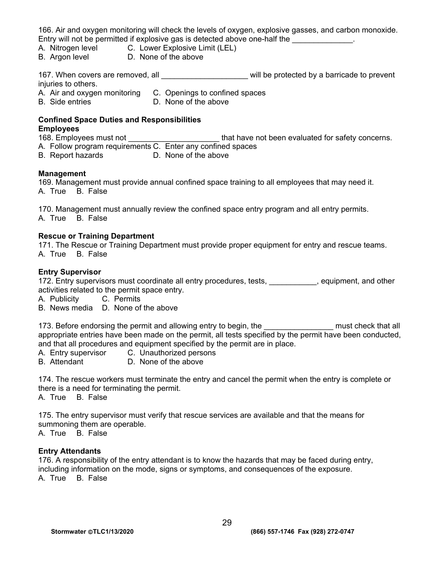166. Air and oxygen monitoring will check the levels of oxygen, explosive gasses, and carbon monoxide. Entry will not be permitted if explosive gas is detected above one-half the **Example 20** 

- A. Nitrogen level C. Lower Explosive Limit (LEL)
- B. Argon level **D. None of the above**

167. When covers are removed, all \_\_\_\_\_\_\_\_\_\_\_\_\_\_\_\_\_\_\_\_\_\_\_ will be protected by a barricade to prevent injuries to others.

- A. Air and oxygen monitoring C. Openings to confined spaces
- B. Side entries D. None of the above

#### **Confined Space Duties and Responsibilities Employees**

168. Employees must not \_\_\_\_\_\_\_\_\_\_\_\_\_\_\_\_\_\_\_\_\_\_\_\_\_\_\_\_that have not been evaluated for safety concerns.

A. Follow program requirements C. Enter any confined spaces

B. Report hazards D. None of the above

#### **Management**

169. Management must provide annual confined space training to all employees that may need it. A. True B. False

170. Management must annually review the confined space entry program and all entry permits. A. True B. False

#### **Rescue or Training Department**

171. The Rescue or Training Department must provide proper equipment for entry and rescue teams. A. True B. False

#### **Entry Supervisor**

172. Entry supervisors must coordinate all entry procedures, tests, example and providing the state of the 172. activities related to the permit space entry.

- A. Publicity C. Permits
- B. News media D. None of the above

173. Before endorsing the permit and allowing entry to begin, the **The and Solution** must check that all appropriate entries have been made on the permit, all tests specified by the permit have been conducted, and that all procedures and equipment specified by the permit are in place.

- A. Entry supervisor C. Unauthorized persons
- B. Attendant D. None of the above

174. The rescue workers must terminate the entry and cancel the permit when the entry is complete or there is a need for terminating the permit.

A. True B. False

175. The entry supervisor must verify that rescue services are available and that the means for summoning them are operable.

A. True B. False

#### **Entry Attendants**

176. A responsibility of the entry attendant is to know the hazards that may be faced during entry, including information on the mode, signs or symptoms, and consequences of the exposure. A. True B. False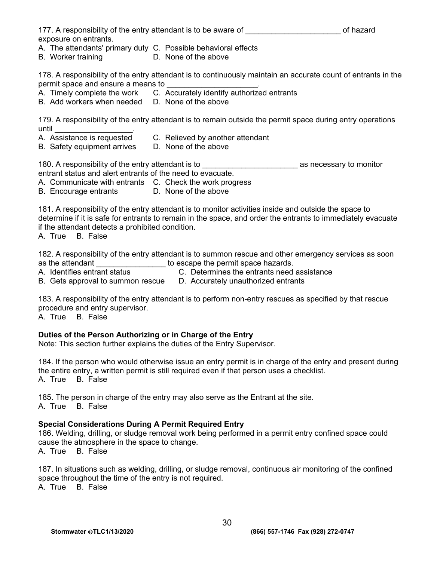| 177. A responsibility of the entry attendant is to be aware of | of hazard |
|----------------------------------------------------------------|-----------|
| exposure on entrants.                                          |           |

- A. The attendants' primary duty C. Possible behavioral effects
- B. Worker training D. None of the above

178. A responsibility of the entry attendant is to continuously maintain an accurate count of entrants in the permit space and ensure a means to

- A. Timely complete the work C. Accurately identify authorized entrants
- B. Add workers when needed D. None of the above

179. A responsibility of the entry attendant is to remain outside the permit space during entry operations until \_\_\_\_\_\_\_\_\_\_\_\_\_\_\_\_\_\_.

- A. Assistance is requested C. Relieved by another attendant
- B. Safety equipment arrives D. None of the above

180. A responsibility of the entry attendant is to **with the entropy as necessary to monitor** 

entrant status and alert entrants of the need to evacuate.

A. Communicate with entrants C. Check the work progress

B. Encourage entrants D. None of the above

181. A responsibility of the entry attendant is to monitor activities inside and outside the space to determine if it is safe for entrants to remain in the space, and order the entrants to immediately evacuate if the attendant detects a prohibited condition.

A. True B. False

182. A responsibility of the entry attendant is to summon rescue and other emergency services as soon as the attendant **abula in the set of the set of the permit space hazards.** 

A. Identifies entrant status C. Determines the entrants need assistance

B. Gets approval to summon rescue D. Accurately unauthorized entrants

183. A responsibility of the entry attendant is to perform non-entry rescues as specified by that rescue procedure and entry supervisor.

A. True B. False

#### **Duties of the Person Authorizing or in Charge of the Entry**

Note: This section further explains the duties of the Entry Supervisor.

184. If the person who would otherwise issue an entry permit is in charge of the entry and present during the entire entry, a written permit is still required even if that person uses a checklist. A. True B. False

185. The person in charge of the entry may also serve as the Entrant at the site. A. True B. False

#### **Special Considerations During A Permit Required Entry**

186. Welding, drilling, or sludge removal work being performed in a permit entry confined space could cause the atmosphere in the space to change. A. True B. False

187. In situations such as welding, drilling, or sludge removal, continuous air monitoring of the confined space throughout the time of the entry is not required.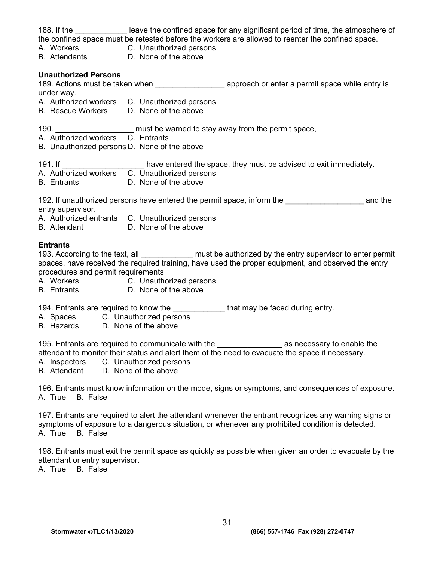|                                                                                           | 188. If the ________________ leave the confined space for any significant period of time, the atmosphere of<br>the confined space must be retested before the workers are allowed to reenter the confined space.<br>A. Workers C. Unauthorized persons       |
|-------------------------------------------------------------------------------------------|--------------------------------------------------------------------------------------------------------------------------------------------------------------------------------------------------------------------------------------------------------------|
| B. Attendants D. None of the above                                                        |                                                                                                                                                                                                                                                              |
| <b>Unauthorized Persons</b><br>under way.<br>B. Rescue Workers D. None of the above       | A. Authorized workers C. Unauthorized persons                                                                                                                                                                                                                |
| B. Unauthorized persons D. None of the above                                              |                                                                                                                                                                                                                                                              |
| B. Entrants D. None of the above                                                          | 191. If _____________________ have entered the space, they must be advised to exit immediately.<br>A. Authorized workers C. Unauthorized persons                                                                                                             |
| entry supervisor.<br>B. Attendant D. None of the above                                    | 192. If unauthorized persons have entered the permit space, inform the <b>198.</b> The same and the<br>A. Authorized entrants C. Unauthorized persons                                                                                                        |
| <b>Entrants</b><br>procedures and permit requirements<br>B. Entrants D. None of the above | 193. According to the text, all ______________ must be authorized by the entry supervisor to enter permit spaces, have received the required training, have used the proper equipment, and observed the entry<br>A. Workers C. Unauthorized persons          |
| A. Spaces C. Unauthorized persons<br>B. Hazards D. None of the above                      | 194. Entrants are required to know the ______________that may be faced during entry.                                                                                                                                                                         |
| A. Inspectors<br><b>B.</b> Attendant                                                      | 195. Entrants are required to communicate with the _______________________ as necessary to enable the<br>attendant to monitor their status and alert them of the need to evacuate the space if necessary.<br>C. Unauthorized persons<br>D. None of the above |
|                                                                                           |                                                                                                                                                                                                                                                              |
| A. True<br><b>B.</b> False                                                                | 196. Entrants must know information on the mode, signs or symptoms, and consequences of exposure.                                                                                                                                                            |

198. Entrants must exit the permit space as quickly as possible when given an order to evacuate by the attendant or entry supervisor.